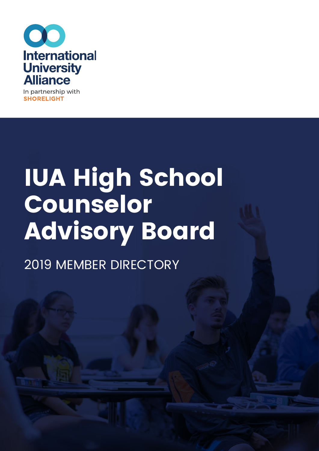

## **IUA High School Counselor Advisory Board**

2019 MEMBER DIRECTORY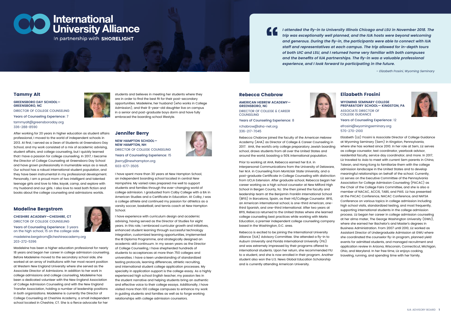### **International University Alliance**

In partnership with SHORELIGHT

#### **Tammy Alt**

**GREENSBORO DAY SCHOOL— GREENSBORO, NC** DIRECTOR OF COLLEGE COUNSELING Years of Counseling Experience: 7

tammyalt@greensboroday.org 336-288-8590

After working for 20 years in higher education as student affairs professional, I moved to the world of independent schools in 2013. At first, I served as a Dean of Students at Greensboro Day School, and my work consisted of a mix of academic advising, student affairs, and college counseling, but I quickly learned that I have a passion for college counseling. In 2017, I became the Director of College Counseling at Greensboro Day School and have grown professionally in inumerable ways as a result. Our school has a robust international student population, and they have been instrumental in my professional development. Personally, I am a proud mom of two intelligent and talented teenage girls and love to hike, kayak, camp, and explore with my husband and our girls. I also love to read both fiction and books about the college counseling and admissions worlds.

#### **Madeline Bergstrom**

**CHESHIRE ACADEMY—CHESHIRE, CT** DIRECTOR OF COLLEGE COUNSELING

I have spent more than 30 years at New Hampton School, an independent boarding school located in central New Hampshire. My varied roles prepared me well to support students and families through the ever-changing world of college admission. I graduated from Colby College with a BA in American Studies and a Certificate in Education. At Colby, I was a college athlete and continued my passion for athletics as a varsity soccer, basketball, and tennis coach at New Hampton **School.** 

Years of Counseling Experience: 3 years on the high school, 15 on the college side madeleine.bergstrom@cheshireacademy.org

203-272-5396

Madeleine has been a higher education professional for nearly 18 years and began her career in college admission counseling. Before Madeleine moved to the secondary school side, she worked at an array of institutions with her most recent position at Western New England University where she served as the Associate Director of Admissions. In addition to her work in college admissions and college counseling, Madeleine has been a dedicated volunteer with the New England Association of College Admission Counseling and with the New England Transfer Association, holding a number of leadership positions in both organizations. Madeleine is currently the Director of College Counseling at Cheshire Academy, a small independent school located in Cheshire, CT. She is a fierce advocate for her



#### **Jennifer Berry**

**NEW HAMPTON SCHOOL— NEW HAMPTON, NH** DIRECTOR OF COLLEGE COUNSELING Years of Counseling Experience: 15 jberry@newhampton.org 603-677-3505

**AMERICAN HEBREW ACADEMY— GREENSBORO, NC** DIRECTOR OF COLLEGE & CAREER **COUNSELING** 



I have experience with curriculum design and academic advising, having served as the Director of Studies for eight years. In this role, I embraced curricular growth and initiatives, enhanced student learning through successful technology integration, customized learning opportunities, implemented the IB Diploma Programme, and strategically designed an academic skill continuum. In my seven years as the Director of College Counseling, I have shepherded hundreds of students to acceptances at more than 750 colleges and universities. I have a keen understanding of standardized testing protocols, learning differences, athletic recruiting, and international student college application processes. My specialty in application support is the college essay. As a highly experienced high school English teacher, my passion lies in the student narrative and helping students bring an authentic and effective voice to their college essays. Additionally, I have visited more than 100 college campuses to enhance my work in guiding students and families as well as to forge working relationships with college admission counselors.



**I attended the fly-in to University Illinois Chicago and LSU in November 2018. The trip was exceptionally well planned, and the IUA hosts were beyond welcoming and generous. During the fly-in, the participants were able to connect with IUA staff and representatives at each campus. The trip allowed for in-depth tours of both UIC and LSU, and I returned home very familiar with both campuses and the benefits of IUA partnerships. The fly-in was a valuable professional experience, and I look forward to participating in the future.**

– Elizabeth Frosini, Wyoming Seminary

students and believes in meeting her students where they are in order to find the best fit for their post-secondary opportunities. Madeleine, her husband (who works in College Admission), and their 8-year-old daughter live on campus in a senior and post-graduate boys dorm and have fully embraced the boarding school lifestyle.

#### **Rebecca Chabrow**

Years of Counseling Experience: 8 rchabrow@aha-net.org 336-217-7045

Academy (AHA) as Director of College & Career Counseling in 2017. AHA, the world's only college preparatory Jewish boarding school, draws students from all over the United States and around the world, boasting a 50% international population. Prior to working at AHA, Rebecca earned her B.A. in Interpersonal Communications from the University of Delaware, her M.A. in Counseling from Montclair State University, and a post-graduate Certificate in College Counseling with distinction from UCLA Extension. After graduate school, Rebecca began her career working as a high school counselor at New Milford High School in Bergen County, NJ. She then joined the faculty and leadership team at the Benjamin Franklin International School (BFIS) in Barcelona, Spain, as their HS/College Counselor. BFIS, an American international school, is one-third American, onethird Spanish, and one-third international. After two years at BFIS, Rebecca returned to the United States where she learned college counseling best practices while working with Marks Education, a premier independent college counseling company based in the Washington, D.C. area. Rebecca is excited to be joining the International University Alliance (IUA) Advisory Committee. She attended a fly-in to Auburn University and Florida International University (FIU) and was extremely impressed by their programs offered to international students. Upon her return, she recommended FIU to a student, and she is now enrolled in their program. Another

student also won the U.S. News Global Education Scholarship and is currently attending American University.



#### **Elizabeth Frosini**

**WYOMING SEMINARY COLLEGE PREPARATORY SCHOOL— KINGSTON, PA** ASSOCIATE DIRECTOR OF COLLEGE GUIDANCE

Rebecca Chabrow joined the faculty of the American Hebrew Elizabeth (Liz) Frosini is Associate Director of College Guidance at Wyoming Seminary (Sem) in Kingston, Pennsylvania, where she has worked since 2010. In her role at Sem, Liz serves as college counselor, test coordinator, yearbook advisor, residential faculty, service day coordinator, and more. In 2017, Liz traveled to Asia to meet with current Sem parents in China, Taiwan, and Hong Kong to familiarize them with the college admission landscape in the United States and to develop meaningful relationships on behalf of the school. Currently, Liz serves on the Executive Committee of the Pennsylvania Association for College Admission Counseling (PACAC) as the Chair of the College Fairs Committee, and she is also a member of NACAC, ACCIS, TABS, and PAIS. Liz has presented at the PACAC Conference, NACAC Conference, and NAFSA Conference on various topics in college admission including high school visits, standardized testing, and most frequently, supporting international students in the college admission process. Liz began her career in college admission counseling at her alma mater, The George Washington University (GWU), where she earned her Bachelor's and Master's degrees in Business Administration. From 2007 until 2010, Liz worked as Assistant Director of Undergraduate Admission at GWU where she coordinated the counselor fly-in program, planned yield events for admitted students, and managed recruitment and application review in Arizona, Wisconsin, Connecticut, Michigan, Ohio, and Maryland. In her free time, Liz enjoys cooking, traveling, running, and spending time with her family.



Years of Counseling Experience: 12 efrosini@wyomingseminary.org 570-270-2100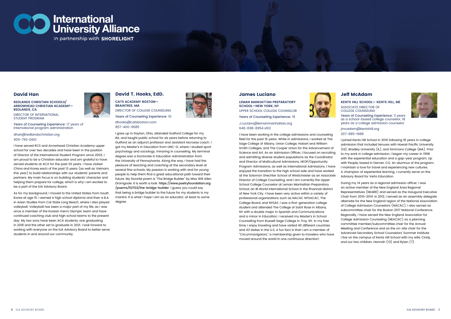## **International University Alliance**

In partnership with SHORELIGHT

#### **David Han**

**REDLANDS CHRISTIAN SCHOOLS/ ARROWHEAD CHRISTIAN ACADEMY— REDLANDS, CA**

DIRECTOR OF INTERNATIONAL STUDENT PROGRAM

Years of Counseling Experience: 17 years of international program administration

dhan@redlandschristian.org 909-793-0601

I have served RCS and Arrowhead Christian Academy upper school for over two decades and have been in the position of Director of the International Student Program since 2003. I am proud to be a Christian educator and am grateful to have served students at ACA for the past 20 years. I have visited China and Korea each of the past 13 years (as well as Vietnam, this year) to build relationships with our students' parents and partners. My main focus is on building students' character and helping them prepare for college, which is why I am excited to be a part of the IUA Advisory Board.

As for my background, I moved to the United States from South Korea at age 15. I earned a high school diploma and then a B.A. in Asian Studies from Cal State Long Beach, where I also played volleyball. Volleyball has been a major part of my life, as I was once a member of the Korean men's Olympic team and have continued coaching club and high school teams to the present day. My two sons have been ACA students, one graduating in 2018 and the other set to graduate in 2021. I look forward to working with everyone on the IUA Advisory Board to better serve students in and around our community.



#### **James Luciano**

**LEMAN MANHATTAN PREPARATORY SCHOOL—NEW YORK, NY** UPPER SCHOOL COLLEGE COUNSELOR Years of Counseling Experience: 16



J.Luciano@lemanmanhattan.org 646-698-8954 x612

#### **David T. Hooks, EdD.**

**CATS ACADEMY BOSTON— BRAINTREE, MA** DIRECTOR OF COLLEGE COUNSELING Years of Counseling Experience: 10

dhooks@catsboston.com 857-400-9685



I have been working in the college admissions and counseling field for the past 16 years. While in admissions, I worked at The Sage College of Albany, Union College, Hobart and William Smith Colleges, and The Cooper Union for the Advancement of Science and Art. As an Admission Officer, I focused on recruiting and admitting diverse student populations as the Coordinator and Director of Multicultural Admissions, HEOP/Opportunity Program Admissions, as well as International Admissions. I have enjoyed the transition to the high school side and have worked at the Solomon Shechter School of Westchester as an Associate Director of College Counseling, and I am currently the Upper School College Counselor at Leman Manhattan Preparatory School, an IB World International School in the financial district of New York City. I have been very active within a variety of professional organizations such as NACAC NYSACAC, The College Board, and NYSAS. I was a first-generation college student and attended The College of Saint Rose in Albany, NY with a double major in Spanish and Communications and a minor in Education. I received my Master's in School Counseling from Russell Sage College in Troy, NY. In my free time, I enjoy traveling and have visited 40 different countries and 43 states in the U.S. A fun fact is that I am a member of "Circumnavigators," a membership given to travelers who have moved around the world in one continuous direction! I joined Kents Hill School in 2016 following 18 years in college admission that included tenures with Hawaii Pacific University (HI), Bradley University (IL), and Simmons College (MA). Prior to my work in college admission, I began my career in 1998 with the experiential education and a gap-year program, Up with People, based in Denver, CO. An alumnus of the program, I maintain a love for travel and experiencing new cultures. A champion of experiential learning, I currently serve on the Advisory Board for Verto Education. During my 14 years as a regional admission officer, I was an active member of the New England Area Regional Representatives (NEARR) and served as the inaugural Executive Chair from 2010-2014. In 2012, I served as an assembly delegate alternate for the New England region of the National Association of College Admission Counselors (NACAC). I also served as subcommittee chair for the Boston 2017 National Conference. Regionally, I have served the New England Association for College Admission Counseling (NEACAC) as a planning committee member/subcommittee chair for the Annual Meeting and Conference and as the on-site chair for the Advanced Secondary School Counselors' Summer Institute. I live on the campus of Kents Hill School with my wife, Cindy, and our two children, Hannah (13) and Rylan (7).

I grew up in Dayton, Ohio, attended Guilford College for my BA, and taught public school for six years before returning to Guilford as an adjunct professor and assistant lacrosse coach. I got my Master's in Education from UNC-G, where I studied sport psychology and sociology, minoring in counseling. My terminal degree was a Doctorate in Education Administration from the University of Pennsylvania. Along the way, I have had the pleasure of teaching and coaching at the secondary level at several fine schools. My passion is working with and for young people to help them find a great educational path toward their future. My favorite poem is "The Bridge Builder" by Miss Will Allen Dromgoole. It is worth a look: https://www.poetryfoundation.org /poems/52702/the-bridge-builder. I guess you could say that being a bridge builder to the future for my students is my mantra. It is what I hope I am as an educator, at least to some degree.



#### **Jeff McAdam**

**KENTS HILL SCHOOL— KENTS HILL, ME** ASSOCIATE DIRECTOR OF COLLEGE COUNSELING Years of Counseling Experience: 3 years as a school-based college counselor, 18 years as a college admission counselor

jmcadam@kentshill.org 207-685-1688

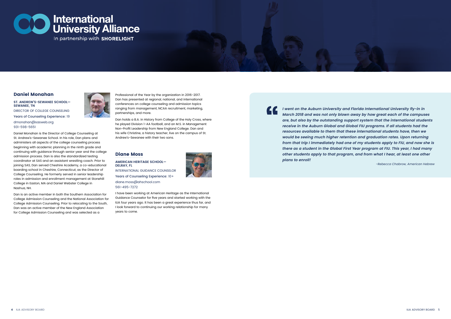# **International<br>University Alliance**

In partnership with SHORELIGHT



#### **Daniel Monahan**

**ST. ANDREW'S-SEWANEE SCHOOL— SEWANEE, TN** DIRECTOR OF COLLEGE COUNSELING Years of Counseling Experience: 19

dmonahan@sasweb.org 931-598-5651

Daniel Monahan is the Director of College Counseling at St. Andrew's-Sewanee School. In his role, Dan plans and administers all aspects of the college counseling process beginning with academic planning in the ninth grade and continuing with guidance through senior year and the college admission process. Dan is also the standardized testing coordinator at SAS and an assistant wrestling coach. Prior to joining SAS, Dan served Cheshire Academy, a co-educational boarding school in Cheshire, Connecticut, as the Director of College Counseling. He formerly served in senior leadership roles in admission and enrollment management at Stonehill College in Easton, MA and Daniel Webster College in Nashua, NH.

Dan is an active member in both the Southern Association for College Admission Counseling and the National Association for College Admission Counseling. Prior to relocating to the South, Dan was an active member of the New England Association for College Admission Counseling and was selected as a



#### **Diane Moss**

**AMERICAN HERITAGE SCHOOL— DELRAY, FL** INTERNATIONAL GUIDANCE COUNSELOR Years of Counseling Experience: 10+ diane.moss@ahschool.com 561-495-7272

I have been working at American Heritage as the International Guidance Counselor for five years and started working with the IUA four years ago. It has been a great experience thus far, and I look forward to continuing our working relationship for many years to come.

**I went on the Auburn University and Florida International University fly-in in March 2018 and was not only blown away by how great each of the campuses are, but also by the outstanding support system that the international students receive in the Auburn Global and Global FIU programs. If all students had the resources available to them that these international students have, then we would be seeing much higher retention and graduation rates. Upon returning from that trip I immediately had one of my students apply to FIU, and now she is there as a student in the Global First Year program at FIU. This year, I had many other students apply to that program, and from what I hear, at least one other plans to enroll!**

-Rebecca Chabrow, American Hebrew

Professional of the Year by the organization in 2016-2017. Dan has presented at regional, national, and international conferences on college counseling and admission topics ranging from management, NCAA recruitment, marketing, partnerships, and more.

Dan holds a B.A. in History from College of the Holy Cross, where he played Division 1-AA football, and an M.S. in Management Non-Profit Leadership from New England College. Dan and his wife Christine, a history teacher, live on the campus of St. Andrew's-Sewanee with their two sons.